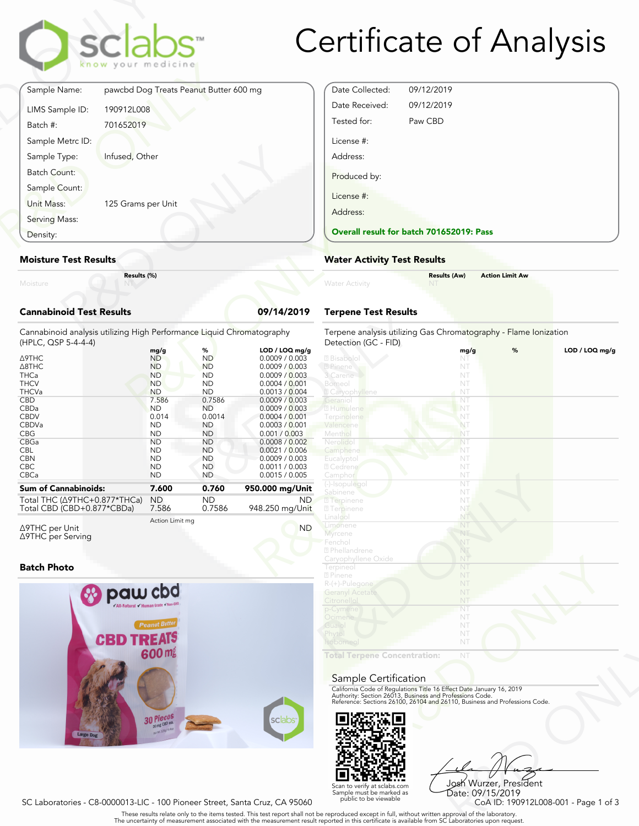

# Certificate of Analysis

|                                 | sclabs <sup>*</sup><br>know your medicine |            |
|---------------------------------|-------------------------------------------|------------|
| Sample Name:                    | pawcbd Dog Treats Peanut Butter 600 mg    |            |
| LIMS Sample ID:                 | 190912L008                                |            |
| Batch #:                        | 701652019                                 |            |
| Sample Metrc ID:                |                                           |            |
| Sample Type:                    | Infused, Other                            |            |
| Batch Count:                    |                                           |            |
| Sample Count:                   |                                           |            |
| Unit Mass:                      | 125 Grams per Unit                        |            |
| Serving Mass:                   |                                           |            |
| Density:                        |                                           |            |
| <b>Moisture Test Results</b>    |                                           |            |
| Moisture                        | Results (%)                               |            |
| <b>Cannabinoid Test Results</b> |                                           | 09/14/2019 |

#### **Moisture Test Results**

### **Cannabinoid Test Results 09/14/2019**

| Density:                                                                                                                                                                                     | <b>Overall result for batc</b><br><b>Water Activity Test R</b>                                                                                                                     |                                                                                                                                                                                   |                                                                                                                                                                                                                                                                           |                                                                                                                                                                                              |
|----------------------------------------------------------------------------------------------------------------------------------------------------------------------------------------------|------------------------------------------------------------------------------------------------------------------------------------------------------------------------------------|-----------------------------------------------------------------------------------------------------------------------------------------------------------------------------------|---------------------------------------------------------------------------------------------------------------------------------------------------------------------------------------------------------------------------------------------------------------------------|----------------------------------------------------------------------------------------------------------------------------------------------------------------------------------------------|
| <b>Moisture Test Results</b>                                                                                                                                                                 |                                                                                                                                                                                    |                                                                                                                                                                                   |                                                                                                                                                                                                                                                                           |                                                                                                                                                                                              |
| Results (%)<br>Moisture                                                                                                                                                                      |                                                                                                                                                                                    |                                                                                                                                                                                   |                                                                                                                                                                                                                                                                           | <b>Water Activity</b>                                                                                                                                                                        |
| <b>Cannabinoid Test Results</b>                                                                                                                                                              |                                                                                                                                                                                    |                                                                                                                                                                                   | 09/14/2019                                                                                                                                                                                                                                                                | <b>Terpene Test Results</b>                                                                                                                                                                  |
| Cannabinoid analysis utilizing High Performance Liquid Chromatography<br>(HPLC, QSP 5-4-4-4)                                                                                                 |                                                                                                                                                                                    |                                                                                                                                                                                   |                                                                                                                                                                                                                                                                           | Terpene analysis utilizing<br>Detection (GC - FID)                                                                                                                                           |
| Δ9THC<br>$\triangle$ 8THC<br><b>THCa</b><br><b>THCV</b><br><b>THCVa</b><br><b>CBD</b><br>CBDa<br><b>CBDV</b><br><b>CBDVa</b><br><b>CBG</b><br>CBGa<br><b>CBL</b><br><b>CBN</b><br><b>CBC</b> | mg/g<br><b>ND</b><br><b>ND</b><br><b>ND</b><br><b>ND</b><br><b>ND</b><br>7.586<br><b>ND</b><br>0.014<br><b>ND</b><br><b>ND</b><br><b>ND</b><br><b>ND</b><br><b>ND</b><br><b>ND</b> | %<br><b>ND</b><br><b>ND</b><br><b>ND</b><br><b>ND</b><br><b>ND</b><br>0.7586<br><b>ND</b><br>0.0014<br><b>ND</b><br><b>ND</b><br><b>ND</b><br><b>ND</b><br><b>ND</b><br><b>ND</b> | LOD / LOQ mq/q<br>0.0009 / 0.003<br>0.0009 / 0.003<br>0.0009 / 0.003<br>0.0004 / 0.001<br>0.0013 / 0.004<br>0.0009 / 0.003<br>0.0009 / 0.003<br>0.0004 / 0.001<br>0.0003 / 0.001<br>0.001 / 0.003<br>0.0008 / 0.002<br>0.0021 / 0.006<br>0.0009 / 0.003<br>0.0011 / 0.003 | 2 Bisabolol<br>2 Pinene<br>3 Carene<br>Borneol<br><b>Z</b> Caryophyllene<br>Geraniol<br>2 Humulene<br>Terpinolene<br>Valencene<br>Menthol<br>Nerolido<br>Camphene<br>Eucalyptol<br>2 Cedrene |
| CBCa<br><b>Sum of Cannabinoids:</b><br>Total THC (Δ9THC+0.877*THCa)<br>Total CBD (CBD+0.877*CBDa)                                                                                            | <b>ND</b><br>7.600<br><b>ND</b><br>7.586                                                                                                                                           | <b>ND</b><br>0.760<br><b>ND</b><br>0.7586                                                                                                                                         | 0.0015 / 0.005<br>950.000 mg/Unit<br>ND.<br>948.250 mg/Unit                                                                                                                                                                                                               | Camphor<br>(-)-Isopulegol<br>Sabinene<br><b>7</b> Terpinene<br><b>27</b> Terpinene                                                                                                           |
|                                                                                                                                                                                              |                                                                                                                                                                                    |                                                                                                                                                                                   |                                                                                                                                                                                                                                                                           | <b>Linnlen</b>                                                                                                                                                                               |

Δ9THC per Unit Δ9THC per Serving Action Limit mg

### **Batch Photo**



| Date Collected:        | 09/12/2019                               |
|------------------------|------------------------------------------|
| Date Received:         | 09/12/2019                               |
| Tested for:            | Paw CBD                                  |
| License #:<br>Address: |                                          |
| Produced by:           |                                          |
| License #:             |                                          |
| Address:               |                                          |
|                        | Overall result for batch 701652019: Pass |

## **Water Activity Test Results**

| <b>Water Activity</b> | <b>Results (Aw)</b><br><b>NT</b> | <b>Action Limit Aw</b> |  |
|-----------------------|----------------------------------|------------------------|--|
|                       |                                  |                        |  |

## **Terpene Test Results**

| atography           | Terpene analysis utilizing Gas Chromatography - Flame Ionization<br>Detection (GC - FID)                                                                                                                       |      |   |                |
|---------------------|----------------------------------------------------------------------------------------------------------------------------------------------------------------------------------------------------------------|------|---|----------------|
| LOD / LOQ mg/g      |                                                                                                                                                                                                                | mg/g | % | LOD / LOQ mg/g |
| 0.0009 / 0.003      | 2 Bisabolol                                                                                                                                                                                                    | NT   |   |                |
| 0.0009 / 0.003      | 2 Pinene                                                                                                                                                                                                       | NT   |   |                |
| 0.0009 / 0.003      | 3 Carene                                                                                                                                                                                                       | NT   |   |                |
| 0.0004 / 0.001      | Borneol                                                                                                                                                                                                        | NT   |   |                |
| 0.0013 / 0.004      | 2 Caryophyllene                                                                                                                                                                                                | NT   |   |                |
| 0.0009 / 0.003      | Geraniol                                                                                                                                                                                                       | NT   |   |                |
| 0.0009 / 0.003      | 2 Humulene                                                                                                                                                                                                     | NT   |   |                |
| 0.0004 / 0.001      | Terpinolene                                                                                                                                                                                                    | NT   |   |                |
| 0.0003 / 0.001      | Valencene                                                                                                                                                                                                      | NT   |   |                |
| 0.001 / 0.003       | Menthol                                                                                                                                                                                                        | NT   |   |                |
| 0.0008 / 0.002      | Nerolido                                                                                                                                                                                                       | NT   |   |                |
| 0.0021 / 0.006      | Camphene                                                                                                                                                                                                       | NT   |   |                |
| 0.0009 / 0.003      | Eucalyptol                                                                                                                                                                                                     | NT   |   |                |
| 0.0011 / 0.003      | 2 Cedrene                                                                                                                                                                                                      | NT   |   |                |
| 0.0015 / 0.005      | Camphor                                                                                                                                                                                                        | NT   |   |                |
|                     | (-)-Isopulegol                                                                                                                                                                                                 | NT   |   |                |
| 60.000 mg/Unit      | Sabinene                                                                                                                                                                                                       | NT   |   |                |
| ND.                 | <b>7</b> Terpinene                                                                                                                                                                                             | NT   |   |                |
| 48.250 mg/Unit      | <b>7</b> Terpinene                                                                                                                                                                                             | NT   |   |                |
|                     | Linalool                                                                                                                                                                                                       | NT   |   |                |
| <b>ND</b>           | Limonene                                                                                                                                                                                                       | NT   |   |                |
|                     | Myrcene                                                                                                                                                                                                        | NT   |   |                |
|                     | Fenchol                                                                                                                                                                                                        | NT   |   |                |
|                     | 2 Phellandrene                                                                                                                                                                                                 | NT   |   |                |
|                     | Caryophyllene Oxide                                                                                                                                                                                            | NT   |   |                |
|                     | Terpineol                                                                                                                                                                                                      | NT   |   |                |
|                     | 2 Pinene                                                                                                                                                                                                       | NT   |   |                |
|                     | R-(+)-Pulegone                                                                                                                                                                                                 | NT   |   |                |
|                     | <b>Geranyl Acetate</b>                                                                                                                                                                                         | NT   |   |                |
|                     | Citronellol                                                                                                                                                                                                    | NT   |   |                |
|                     | p-Cymene                                                                                                                                                                                                       | NT   |   |                |
|                     | Ocimene                                                                                                                                                                                                        | NT   |   |                |
|                     | Guaiol                                                                                                                                                                                                         | NT   |   |                |
|                     | Phytol                                                                                                                                                                                                         | NT   |   |                |
|                     | Isoborneol                                                                                                                                                                                                     | NT   |   |                |
|                     |                                                                                                                                                                                                                |      |   |                |
|                     | <b>Total Terpene Concentration:</b>                                                                                                                                                                            | NT   |   |                |
|                     |                                                                                                                                                                                                                |      |   |                |
|                     | Sample Certification                                                                                                                                                                                           |      |   |                |
|                     |                                                                                                                                                                                                                |      |   |                |
|                     | California Code of Regulations Title 16 Effect Date January 16, 2019<br>Authority: Section 26013, Business and Professions Code.<br>Reference: Sections 26100, 26104 and 26110, Business and Professions Code. |      |   |                |
|                     |                                                                                                                                                                                                                |      |   |                |
|                     |                                                                                                                                                                                                                |      |   |                |
| sclabs <sup>®</sup> |                                                                                                                                                                                                                |      |   |                |
|                     |                                                                                                                                                                                                                |      |   |                |
|                     |                                                                                                                                                                                                                |      |   |                |

#### Sample Certification



R&D ONLY Josh Wurzer, President Date: 09/15/2019<br>CoA ID: 190912L008-001 - Page 1 of 3

SC Laboratories - C8-0000013-LIC - 100 Pioneer Street, Santa Cruz, CA 95060

. These results relate only to the items tested. This test report shall not be reproduced except in full, without written approval of the laboratory.<br>The uncertainty of measurement associated with the measurement result re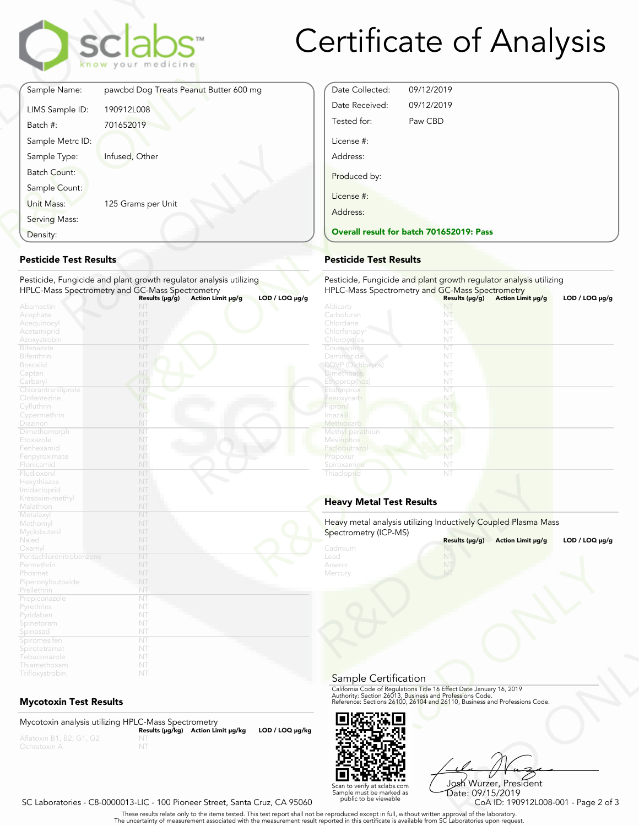

# Certificate of Analysis

Date Collected: 09/12/2019 Date Received: 09/12/2019 Tested for: Paw CBD

License #: Address:

Produced by:

License #: Address:

| Sample Name:        |                                        |
|---------------------|----------------------------------------|
|                     | pawcbd Dog Treats Peanut Butter 600 mg |
| LIMS Sample ID:     | 190912L008                             |
| Batch #:            | 701652019                              |
| Sample Metrc ID:    |                                        |
| Sample Type:        | Infused, Other                         |
| <b>Batch Count:</b> |                                        |
| Sample Count:       |                                        |
| Unit Mass:          | 125 Grams per Unit                     |
| Serving Mass:       |                                        |
| Density:            |                                        |

## **Pesticide Test Results**

| Density:                          |                                                                    | <b>Overall result for batc</b> |
|-----------------------------------|--------------------------------------------------------------------|--------------------------------|
| <b>Pesticide Test Results</b>     |                                                                    | <b>Pesticide Test Results</b>  |
|                                   | Pesticide, Fungicide and plant growth regulator analysis utilizing | Pesticide, Fungicide and       |
|                                   | HPLC-Mass Spectrometry and GC-Mass Spectrometry                    | <b>HPLC-Mass Spectrometry</b>  |
|                                   | $LOD / LOQ \mu g/g$<br>Action Limit µg/g<br>Results $(\mu g/g)$    |                                |
| Abamectin                         | NT                                                                 | Aldicarb                       |
| Acephate                          | NT                                                                 | Carbofuran                     |
| Acequinocyl                       | NT                                                                 | Chlordane                      |
| Acetamiprid                       | NT                                                                 | Chlorfenapyr                   |
| Azoxystrobin                      | NT                                                                 | Chlorpyrifos                   |
| <b>Bifenazate</b>                 | NT                                                                 | Coumaphos                      |
| <b>Bifenthrin</b>                 | NT                                                                 | Daminozide                     |
| <b>Boscalid</b>                   | NT                                                                 | <b>DDVP</b> (Dichlorvos)       |
| Captan                            | NT                                                                 | <b>Dimethoate</b>              |
| Carbaryl                          | NT                                                                 | Ethoprop(hos)                  |
| Chlorantraniliprole               | NT                                                                 | Etofenprox                     |
| Clofentezine                      | NT                                                                 | Fenoxycarb                     |
| Cyfluthrin                        | NT.                                                                | Fipronil                       |
| Cypermethrin                      | NT                                                                 | Imaza i                        |
| Diazinon                          | NT                                                                 | Methiocarb                     |
| Dimethomorph                      | NT                                                                 | Methyl parathion               |
| Etoxazole                         | NT                                                                 | Mevinphos                      |
| Fenhexamid                        | NT                                                                 | Paclobutrazo                   |
| Fenpyroximate                     | NT                                                                 | Propoxur                       |
| Flonicamid                        | NT                                                                 | Spiroxamine                    |
| Fludioxonil                       | NT                                                                 | Thiacloprid                    |
| Hexythiazox                       | NT                                                                 |                                |
| Imidacloprid                      | NT                                                                 |                                |
| Kresoxim-methyl                   | NT                                                                 | <b>Heavy Metal Test Res</b>    |
| Malathion                         | NT                                                                 |                                |
| Metalaxyl                         | NT                                                                 | Heavy metal analysis utiliz    |
| Methomyl                          | NT                                                                 |                                |
| Myclobutanil                      | NT                                                                 | Spectrometry (ICP-MS)          |
| Naled                             | NT                                                                 |                                |
| Oxamyl<br>Pentachloronitrobenzene | NT<br>NT                                                           | Cadmium<br>Lead                |
| Permethrin                        | NT                                                                 | Arsenic                        |
|                                   | NT                                                                 |                                |
| Phosmet                           | NT                                                                 | Mercury                        |
| Piperonylbutoxide                 | NT                                                                 |                                |
| Prallethrin                       | NT                                                                 |                                |
| Propiconazole                     | NT                                                                 |                                |
| Pyrethrins                        | NT                                                                 |                                |
| Pyridaben                         | NT                                                                 |                                |
| Spinetoram                        | NT                                                                 |                                |
| Spinosad                          | NT                                                                 |                                |
| Spiromesifen                      | NT                                                                 |                                |
| Spirotetramat                     | NT                                                                 |                                |
| Tebuconazole<br>Thiamethoxam      | NT                                                                 |                                |
|                                   |                                                                    |                                |
| Trifloxystrobin                   | NT                                                                 |                                |

## **Mycotoxin Test Results**

Mycotoxin analysis utilizing HPLC-Mass Spectrometry **Results (μg/kg) Action Limit μg/kg LOD / LOQ μg/kg** NT



Frect Date January 16, 2019<br>
Trofessions Code.<br>
110, Business and Professions Code.<br>
110, Business and Professions Code.<br>
108 Wurzer, President<br>
Date: 09/15/2019<br>
CoA ID: 190912L008-001 - Page 2 of 3<br>
pproval of the labora Josh Wurzer, President Date: 09/15/2019

### SC Laboratories - C8-0000013-LIC - 100 Pioneer Street, Santa Cruz, CA 95060

. These results relate only to the items tested. This test report shall not be reproduced except in full, without written approval of the laboratory.<br>The uncertainty of measurement associated with the measurement result re

Scan to verify at sclabs.com Sample must be marked as public to be viewable

HPLC-Mass Spectrometry and GC-Mass Spectrometry **Results (μg/g) Action Limit μg/g LOD / LOQ μg/g** NT Chlordane NT NT

Pesticide, Fungicide and plant growth regulator analysis utilizing

**Overall result for batch 701652019: Pass**

| Chlorpyrifos                                                                            | NT             |                   |                     |
|-----------------------------------------------------------------------------------------|----------------|-------------------|---------------------|
| Coumaphos                                                                               | NT             |                   |                     |
| Daminozide                                                                              | NT             |                   |                     |
| <b>DDVP</b> (Dichlorvos)                                                                | NT             |                   |                     |
| <b>Dimethoate</b>                                                                       | NT             |                   |                     |
| Ethoprop(hos)                                                                           | NT             |                   |                     |
| Etofenprox                                                                              | NT             |                   |                     |
| Fenoxycarb                                                                              | NT             |                   |                     |
| Fipronil                                                                                | NT             |                   |                     |
| Imazalil                                                                                | NT             |                   |                     |
| Methiocarb                                                                              | NT             |                   |                     |
| Methyl parathion                                                                        | NT             |                   |                     |
| Mevinphos                                                                               | NT             |                   |                     |
| Paclobutrazol                                                                           | NT             |                   |                     |
| Propoxur                                                                                | NT             |                   |                     |
| Spiroxamine                                                                             | NT             |                   |                     |
| Thiacloprid                                                                             | NT             |                   |                     |
| <b>Heavy Metal Test Results</b>                                                         |                |                   |                     |
| Heavy metal analysis utilizing Inductively Coupled Plasma Mass<br>Spectrometry (ICP-MS) | Results (µg/g) | Action Limit µg/g | $LOD / LOQ \mu g/g$ |
| Cadmium                                                                                 | NT             |                   |                     |
| Lead                                                                                    | NT             |                   |                     |
| Arsenic                                                                                 | NT             |                   |                     |
| Mercury                                                                                 | NT             |                   |                     |

## **Heavy Metal Test Results**

| Spectrometry (ICP-MS)                 | Heavy metal analysis utilizing Inductively Coupled Plasma Mass                                                                                                                                                 |                     |
|---------------------------------------|----------------------------------------------------------------------------------------------------------------------------------------------------------------------------------------------------------------|---------------------|
|                                       | Results (µg/g)<br>Action Limit µg/g                                                                                                                                                                            | $LOD / LOQ \mu g/g$ |
| Cadmium<br>Lead<br>Arsenic<br>Mercury | NT                                                                                                                                                                                                             |                     |
| Sample Certification                  |                                                                                                                                                                                                                |                     |
|                                       | California Code of Regulations Title 16 Effect Date January 16, 2019<br>Authority: Section 26013, Business and Professions Code.<br>Reference: Sections 26100, 26104 and 26110, Business and Professions Code. |                     |
|                                       |                                                                                                                                                                                                                |                     |